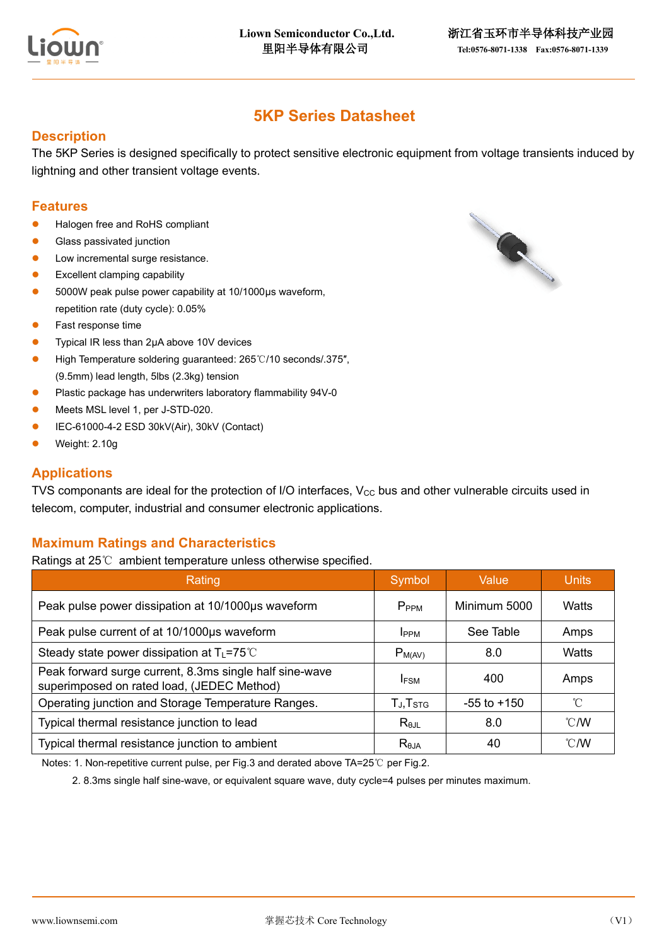

# **5KP Series Datasheet**

### **Description**

The 5KP Series is designed specifically to protect sensitive electronic equipment from voltage transients induced by lightning and other transient voltage events.

### **Features**

- Halogen free and RoHS compliant
- Glass passivated junction
- Low incremental surge resistance.
- ⚫ Excellent clamping capability
- ⚫ 5000W peak pulse power capability at 10/1000μs waveform, repetition rate (duty cycle): 0.05%
- ⚫ Fast response time
- ⚫ Typical IR less than 2μA above 10V devices
- ⚫ High Temperature soldering guaranteed: 265℃/10 seconds/.375″, (9.5mm) lead length, 5lbs (2.3kg) tension
- Plastic package has underwriters laboratory flammability 94V-0
- ⚫ Meets MSL level 1, per J-STD-020.
- ⚫ IEC-61000-4-2 ESD 30kV(Air), 30kV (Contact)
- ⚫ Weight: 2.10g

### **Applications**

TVS componants are ideal for the protection of I/O interfaces,  $V_{CC}$  bus and other vulnerable circuits used in telecom, computer, industrial and consumer electronic applications.

### **Maximum Ratings and Characteristics**

Ratings at 25℃ ambient temperature unless otherwise specified.

| Rating                                                                                                | Symbol               | Value           | <b>Units</b>   |
|-------------------------------------------------------------------------------------------------------|----------------------|-----------------|----------------|
| Peak pulse power dissipation at 10/1000µs waveform                                                    | P <sub>PPM</sub>     | Minimum 5000    | Watts          |
| Peak pulse current of at 10/1000µs waveform                                                           | <b>IPPM</b>          | See Table       | Amps           |
| Steady state power dissipation at $T_L$ =75°C                                                         | $P_{M(AV)}$          | 8.0             | Watts          |
| Peak forward surge current, 8.3ms single half sine-wave<br>superimposed on rated load, (JEDEC Method) | <b>IFSM</b>          | 400             | Amps           |
| Operating junction and Storage Temperature Ranges.                                                    | TJ, T <sub>STG</sub> | $-55$ to $+150$ | °C             |
| Typical thermal resistance junction to lead                                                           | $R_{\theta$ JL       | 8.0             | $^{\circ}$ C/W |
| Typical thermal resistance junction to ambient                                                        | $R_{\theta$ JA       | 40              | $^{\circ}$ C/W |

Notes: 1. Non-repetitive current pulse, per Fig.3 and derated above TA=25℃ per Fig.2.

2. 8.3ms single half sine-wave, or equivalent square wave, duty cycle=4 pulses per minutes maximum.

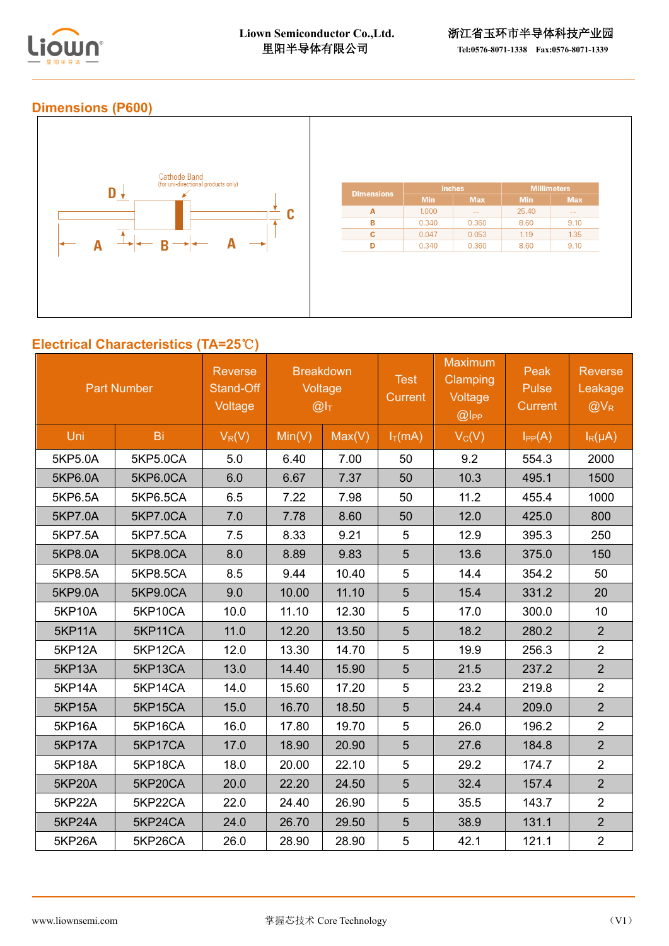

# **Dimensions (P600)**



# **Electrical Characteristics (TA=25**℃**)**

| <b>Part Number</b> |                 | <b>Reverse</b><br>Stand-Off<br>Voltage | <b>Breakdown</b><br>Voltage<br>@I <sub>T</sub> |        | <b>Test</b><br><b>Current</b> | <b>Maximum</b><br><b>Clamping</b><br>Voltage<br>@ | Peak<br>Pulse<br><b>Current</b> | <b>Reverse</b><br>Leakage<br>$@V_R$ |
|--------------------|-----------------|----------------------------------------|------------------------------------------------|--------|-------------------------------|---------------------------------------------------|---------------------------------|-------------------------------------|
| Uni                | Bi              | $V_R(V)$                               | Min(V)                                         | Max(V) | $I_T(mA)$                     | $V_C(V)$                                          | $I_{PP}(A)$                     | $I_R(\mu A)$                        |
| 5KP5.0A            | 5KP5.0CA        | 5.0                                    | 6.40                                           | 7.00   | 50                            | 9.2                                               | 554.3                           | 2000                                |
| 5KP6.0A            | 5KP6.0CA        | 6.0                                    | 6.67                                           | 7.37   | 50                            | 10.3                                              | 495.1                           | 1500                                |
| 5KP6.5A            | 5KP6.5CA        | 6.5                                    | 7.22                                           | 7.98   | 50                            | 11.2                                              | 455.4                           | 1000                                |
| 5KP7.0A            | <b>5KP7.0CA</b> | 7.0                                    | 7.78                                           | 8.60   | 50                            | 12.0                                              | 425.0                           | 800                                 |
| 5KP7.5A            | 5KP7.5CA        | 7.5                                    | 8.33                                           | 9.21   | 5                             | 12.9                                              | 395.3                           | 250                                 |
| 5KP8.0A            | 5KP8.0CA        | 8.0                                    | 8.89                                           | 9.83   | $\overline{5}$                | 13.6                                              | 375.0                           | 150                                 |
| 5KP8.5A            | 5KP8.5CA        | 8.5                                    | 9.44                                           | 10.40  | 5                             | 14.4                                              | 354.2                           | 50                                  |
| 5KP9.0A            | 5KP9.0CA        | 9.0                                    | 10.00                                          | 11.10  | 5                             | 15.4                                              | 331.2                           | 20                                  |
| <b>5KP10A</b>      | 5KP10CA         | 10.0                                   | 11.10                                          | 12.30  | 5                             | 17.0                                              | 300.0                           | 10                                  |
| <b>5KP11A</b>      | 5KP11CA         | 11.0                                   | 12.20                                          | 13.50  | 5                             | 18.2                                              | 280.2                           | $\overline{2}$                      |
| <b>5KP12A</b>      | 5KP12CA         | 12.0                                   | 13.30                                          | 14.70  | 5                             | 19.9                                              | 256.3                           | $\overline{2}$                      |
| <b>5KP13A</b>      | 5KP13CA         | 13.0                                   | 14.40                                          | 15.90  | 5                             | 21.5                                              | 237.2                           | $\overline{2}$                      |
| <b>5KP14A</b>      | 5KP14CA         | 14.0                                   | 15.60                                          | 17.20  | 5                             | 23.2                                              | 219.8                           | $\overline{2}$                      |
| <b>5KP15A</b>      | 5KP15CA         | 15.0                                   | 16.70                                          | 18.50  | 5                             | 24.4                                              | 209.0                           | $\overline{2}$                      |
| <b>5KP16A</b>      | 5KP16CA         | 16.0                                   | 17.80                                          | 19.70  | 5                             | 26.0                                              | 196.2                           | $\overline{2}$                      |
| <b>5KP17A</b>      | 5KP17CA         | 17.0                                   | 18.90                                          | 20.90  | 5                             | 27.6                                              | 184.8                           | $\overline{2}$                      |
| <b>5KP18A</b>      | 5KP18CA         | 18.0                                   | 20.00                                          | 22.10  | 5                             | 29.2                                              | 174.7                           | $\overline{2}$                      |
| <b>5KP20A</b>      | 5KP20CA         | 20.0                                   | 22.20                                          | 24.50  | 5                             | 32.4                                              | 157.4                           | $\overline{2}$                      |
| 5KP22A             | 5KP22CA         | 22.0                                   | 24.40                                          | 26.90  | 5                             | 35.5                                              | 143.7                           | $\overline{2}$                      |
| <b>5KP24A</b>      | 5KP24CA         | 24.0                                   | 26.70                                          | 29.50  | 5                             | 38.9                                              | 131.1                           | $\overline{2}$                      |
| 5KP26A             | 5KP26CA         | 26.0                                   | 28.90                                          | 28.90  | 5                             | 42.1                                              | 121.1                           | $\overline{2}$                      |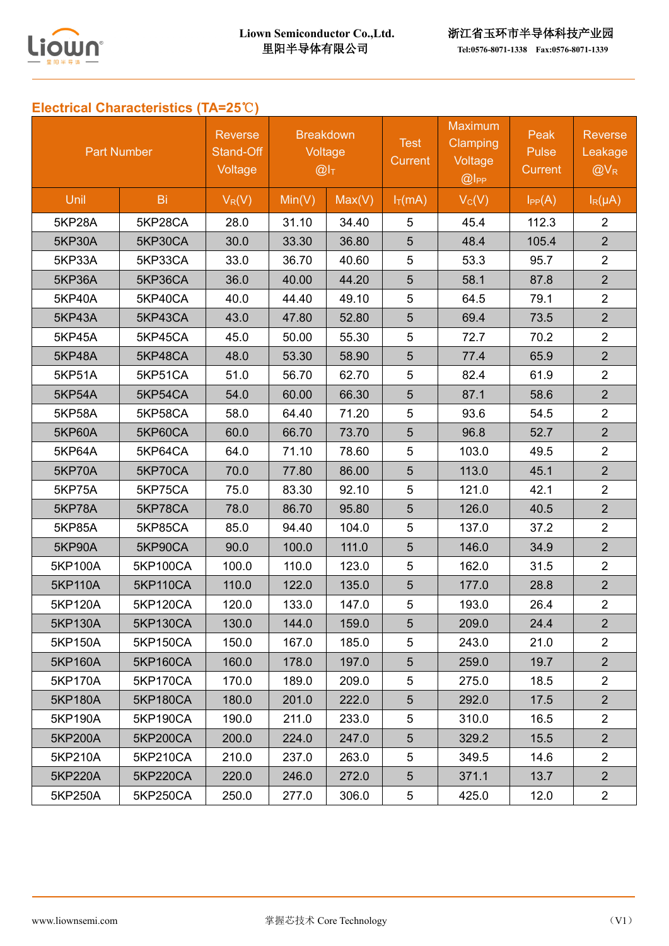

# **Electrical Characteristics (TA=25**℃**)**

| <b>Part Number</b> |                 | <b>Reverse</b><br>Stand-Off<br>Voltage | <b>Breakdown</b><br>Voltage<br>@I <sub>T</sub> |        | <b>Test</b><br>Current | <b>Maximum</b><br><b>Clamping</b><br>Voltage<br>$@$ IPP | Peak<br>Pulse<br>Current | <b>Reverse</b><br>Leakage<br>$@V_{R}$ |
|--------------------|-----------------|----------------------------------------|------------------------------------------------|--------|------------------------|---------------------------------------------------------|--------------------------|---------------------------------------|
| Unil               | Bi              | $V_R(V)$                               | Min(V)                                         | Max(V) | $I_T(mA)$              | $V_C(V)$                                                | $I_{PP}(A)$              | $I_R(\mu A)$                          |
| 5KP28A             | 5KP28CA         | 28.0                                   | 31.10                                          | 34.40  | 5                      | 45.4                                                    | 112.3                    | $\overline{2}$                        |
| <b>5KP30A</b>      | 5KP30CA         | 30.0                                   | 33.30                                          | 36.80  | 5                      | 48.4                                                    | 105.4                    | $\overline{2}$                        |
| <b>5KP33A</b>      | 5KP33CA         | 33.0                                   | 36.70                                          | 40.60  | 5                      | 53.3                                                    | 95.7                     | $\overline{2}$                        |
| <b>5KP36A</b>      | 5KP36CA         | 36.0                                   | 40.00                                          | 44.20  | 5                      | 58.1                                                    | 87.8                     | $\overline{2}$                        |
| 5KP40A             | 5KP40CA         | 40.0                                   | 44.40                                          | 49.10  | 5                      | 64.5                                                    | 79.1                     | $\overline{2}$                        |
| 5KP43A             | 5KP43CA         | 43.0                                   | 47.80                                          | 52.80  | 5                      | 69.4                                                    | 73.5                     | $\overline{2}$                        |
| <b>5KP45A</b>      | 5KP45CA         | 45.0                                   | 50.00                                          | 55.30  | 5                      | 72.7                                                    | 70.2                     | $\overline{2}$                        |
| <b>5KP48A</b>      | 5KP48CA         | 48.0                                   | 53.30                                          | 58.90  | 5                      | 77.4                                                    | 65.9                     | $\overline{2}$                        |
| 5KP51A             | 5KP51CA         | 51.0                                   | 56.70                                          | 62.70  | 5                      | 82.4                                                    | 61.9                     | $\overline{2}$                        |
| <b>5KP54A</b>      | 5KP54CA         | 54.0                                   | 60.00                                          | 66.30  | 5                      | 87.1                                                    | 58.6                     | $\overline{2}$                        |
| <b>5KP58A</b>      | 5KP58CA         | 58.0                                   | 64.40                                          | 71.20  | 5                      | 93.6                                                    | 54.5                     | $\overline{2}$                        |
| <b>5KP60A</b>      | 5KP60CA         | 60.0                                   | 66.70                                          | 73.70  | 5                      | 96.8                                                    | 52.7                     | $\overline{2}$                        |
| 5KP64A             | 5KP64CA         | 64.0                                   | 71.10                                          | 78.60  | 5                      | 103.0                                                   | 49.5                     | $\overline{2}$                        |
| <b>5KP70A</b>      | 5KP70CA         | 70.0                                   | 77.80                                          | 86.00  | 5                      | 113.0                                                   | 45.1                     | $\overline{2}$                        |
| <b>5KP75A</b>      | 5KP75CA         | 75.0                                   | 83.30                                          | 92.10  | 5                      | 121.0                                                   | 42.1                     | $\overline{2}$                        |
| 5KP78A             | 5KP78CA         | 78.0                                   | 86.70                                          | 95.80  | 5                      | 126.0                                                   | 40.5                     | $\overline{2}$                        |
| <b>5KP85A</b>      | 5KP85CA         | 85.0                                   | 94.40                                          | 104.0  | 5                      | 137.0                                                   | 37.2                     | $\overline{2}$                        |
| <b>5KP90A</b>      | 5KP90CA         | 90.0                                   | 100.0                                          | 111.0  | 5                      | 146.0                                                   | 34.9                     | $\overline{2}$                        |
| 5KP100A            | 5KP100CA        | 100.0                                  | 110.0                                          | 123.0  | 5                      | 162.0                                                   | 31.5                     | $\overline{2}$                        |
| 5KP110A            | <b>5KP110CA</b> | 110.0                                  | 122.0                                          | 135.0  | 5                      | 177.0                                                   | 28.8                     | 2 <sup>2</sup>                        |
| 5KP120A            | 5KP120CA        | 120.0                                  | 133.0                                          | 147.0  | 5                      | 193.0                                                   | 26.4                     | $\overline{2}$                        |
| 5KP130A            | 5KP130CA        | 130.0                                  | 144.0                                          | 159.0  | 5                      | 209.0                                                   | 24.4                     | $\overline{2}$                        |
| 5KP150A            | 5KP150CA        | 150.0                                  | 167.0                                          | 185.0  | 5                      | 243.0                                                   | 21.0                     | $\overline{2}$                        |
| 5KP160A            | 5KP160CA        | 160.0                                  | 178.0                                          | 197.0  | 5                      | 259.0                                                   | 19.7                     | $\overline{2}$                        |
| 5KP170A            | 5KP170CA        | 170.0                                  | 189.0                                          | 209.0  | 5                      | 275.0                                                   | 18.5                     | $2^{\circ}$                           |
| 5KP180A            | <b>5KP180CA</b> | 180.0                                  | 201.0                                          | 222.0  | 5                      | 292.0                                                   | 17.5                     | 2 <sup>1</sup>                        |
| 5KP190A            | 5KP190CA        | 190.0                                  | 211.0                                          | 233.0  | 5                      | 310.0                                                   | 16.5                     | $\overline{2}$                        |
| 5KP200A            | 5KP200CA        | 200.0                                  | 224.0                                          | 247.0  | 5                      | 329.2                                                   | 15.5                     | 2 <sup>1</sup>                        |
| 5KP210A            | 5KP210CA        | 210.0                                  | 237.0                                          | 263.0  | 5                      | 349.5                                                   | 14.6                     | $\overline{2}$                        |
| 5KP220A            | 5KP220CA        | 220.0                                  | 246.0                                          | 272.0  | 5                      | 371.1                                                   | 13.7                     | 2 <sup>1</sup>                        |
| 5KP250A            | 5KP250CA        | 250.0                                  | 277.0                                          | 306.0  | 5                      | 425.0                                                   | 12.0                     | $\overline{2}$                        |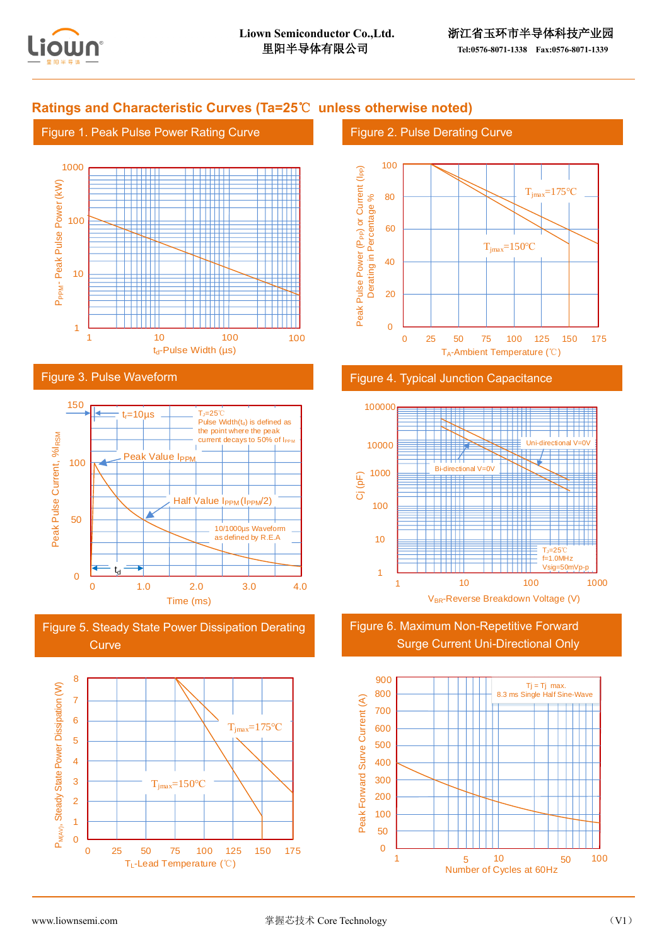

## **Ratings and Characteristic Curves (Ta=25**℃ **unless otherwise noted)**

#### Figure 1. Peak Pulse Power Rating Curve



#### Figure 3. Pulse Waveform



Figure 5. Steady State Power Dissipation Derating **Curve** 



#### Figure 2. Pulse Derating Curve



#### Figure 4. Typical Junction Capacitance



Figure 6. Maximum Non-Repetitive Forward Surge Current Uni-Directional Only

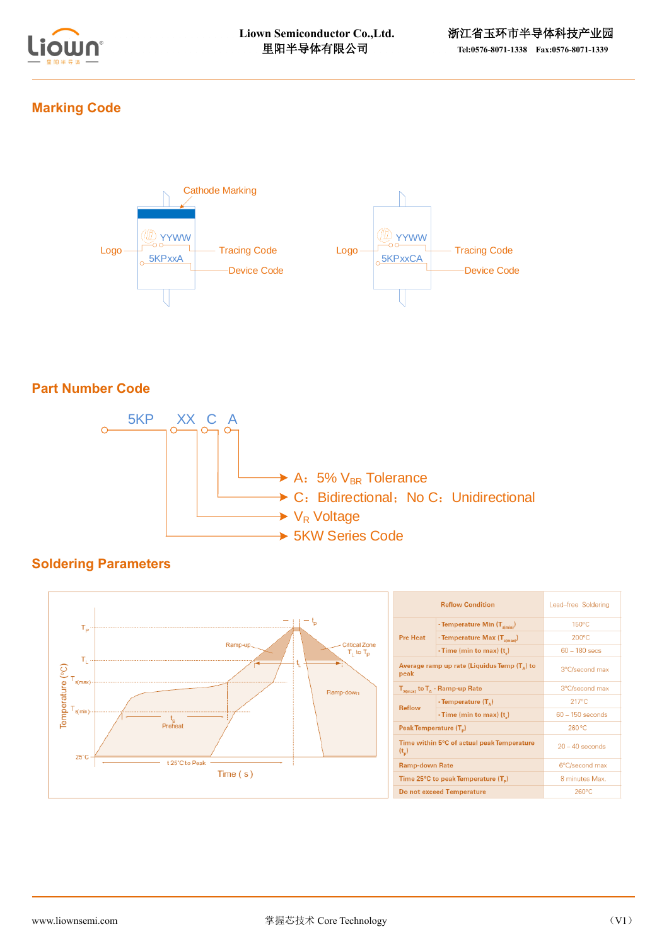

# **Marking Code**



## **Part Number Code**



# **Soldering Parameters**